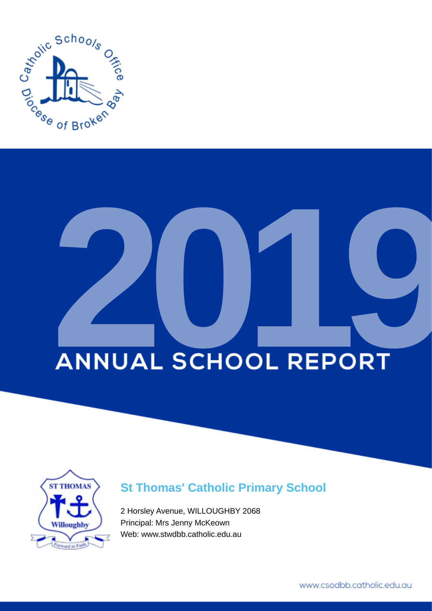

# **ANNUAL SCHOOL REPORT**



# **St Thomas' Catholic Primary School**

2 Horsley Avenue, WILLOUGHBY 2068 Principal: Mrs Jenny McKeown Web: www.stwdbb.catholic.edu.au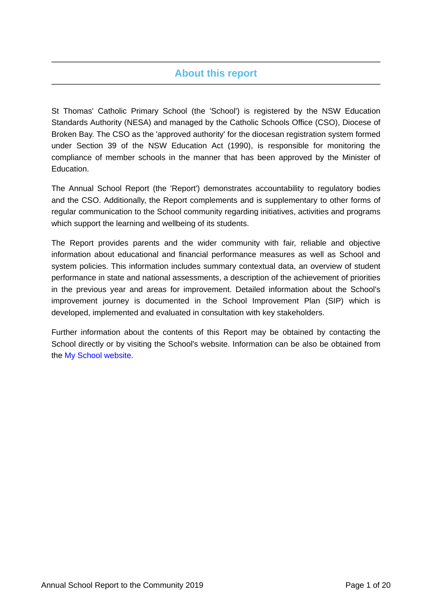# **About this report**

St Thomas' Catholic Primary School (the 'School') is registered by the NSW Education Standards Authority (NESA) and managed by the Catholic Schools Office (CSO), Diocese of Broken Bay. The CSO as the 'approved authority' for the diocesan registration system formed under Section 39 of the NSW Education Act (1990), is responsible for monitoring the compliance of member schools in the manner that has been approved by the Minister of Education.

The Annual School Report (the 'Report') demonstrates accountability to regulatory bodies and the CSO. Additionally, the Report complements and is supplementary to other forms of regular communication to the School community regarding initiatives, activities and programs which support the learning and wellbeing of its students.

The Report provides parents and the wider community with fair, reliable and objective information about educational and financial performance measures as well as School and system policies. This information includes summary contextual data, an overview of student performance in state and national assessments, a description of the achievement of priorities in the previous year and areas for improvement. Detailed information about the School's improvement journey is documented in the School Improvement Plan (SIP) which is developed, implemented and evaluated in consultation with key stakeholders.

Further information about the contents of this Report may be obtained by contacting the School directly or by visiting the School's website. Information can be also be obtained from the [My School website.](https://www.myschool.edu.au/)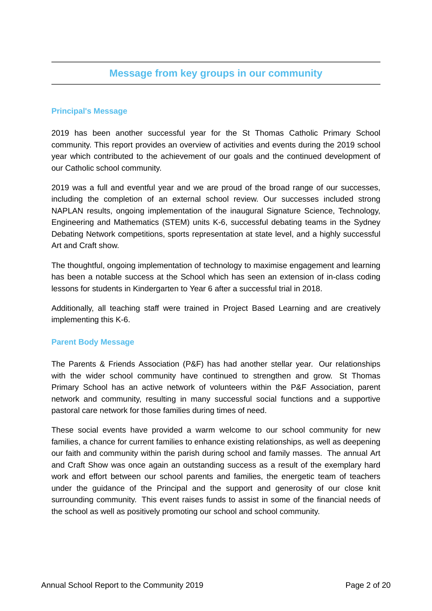# **Message from key groups in our community**

# **Principal's Message**

2019 has been another successful year for the St Thomas Catholic Primary School community. This report provides an overview of activities and events during the 2019 school year which contributed to the achievement of our goals and the continued development of our Catholic school community.

2019 was a full and eventful year and we are proud of the broad range of our successes, including the completion of an external school review. Our successes included strong NAPLAN results, ongoing implementation of the inaugural Signature Science, Technology, Engineering and Mathematics (STEM) units K-6, successful debating teams in the Sydney Debating Network competitions, sports representation at state level, and a highly successful Art and Craft show.

The thoughtful, ongoing implementation of technology to maximise engagement and learning has been a notable success at the School which has seen an extension of in-class coding lessons for students in Kindergarten to Year 6 after a successful trial in 2018.

Additionally, all teaching staff were trained in Project Based Learning and are creatively implementing this K-6.

## **Parent Body Message**

The Parents & Friends Association (P&F) has had another stellar year. Our relationships with the wider school community have continued to strengthen and grow. St Thomas Primary School has an active network of volunteers within the P&F Association, parent network and community, resulting in many successful social functions and a supportive pastoral care network for those families during times of need.

These social events have provided a warm welcome to our school community for new families, a chance for current families to enhance existing relationships, as well as deepening our faith and community within the parish during school and family masses. The annual Art and Craft Show was once again an outstanding success as a result of the exemplary hard work and effort between our school parents and families, the energetic team of teachers under the guidance of the Principal and the support and generosity of our close knit surrounding community. This event raises funds to assist in some of the financial needs of the school as well as positively promoting our school and school community.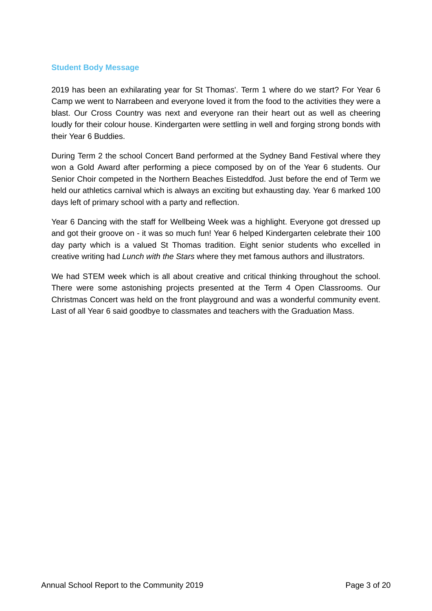### **Student Body Message**

2019 has been an exhilarating year for St Thomas'. Term 1 where do we start? For Year 6 Camp we went to Narrabeen and everyone loved it from the food to the activities they were a blast. Our Cross Country was next and everyone ran their heart out as well as cheering loudly for their colour house. Kindergarten were settling in well and forging strong bonds with their Year 6 Buddies.

During Term 2 the school Concert Band performed at the Sydney Band Festival where they won a Gold Award after performing a piece composed by on of the Year 6 students. Our Senior Choir competed in the Northern Beaches Eisteddfod. Just before the end of Term we held our athletics carnival which is always an exciting but exhausting day. Year 6 marked 100 days left of primary school with a party and reflection.

Year 6 Dancing with the staff for Wellbeing Week was a highlight. Everyone got dressed up and got their groove on - it was so much fun! Year 6 helped Kindergarten celebrate their 100 day party which is a valued St Thomas tradition. Eight senior students who excelled in creative writing had *Lunch with the Stars* where they met famous authors and illustrators.

We had STEM week which is all about creative and critical thinking throughout the school. There were some astonishing projects presented at the Term 4 Open Classrooms. Our Christmas Concert was held on the front playground and was a wonderful community event. Last of all Year 6 said goodbye to classmates and teachers with the Graduation Mass.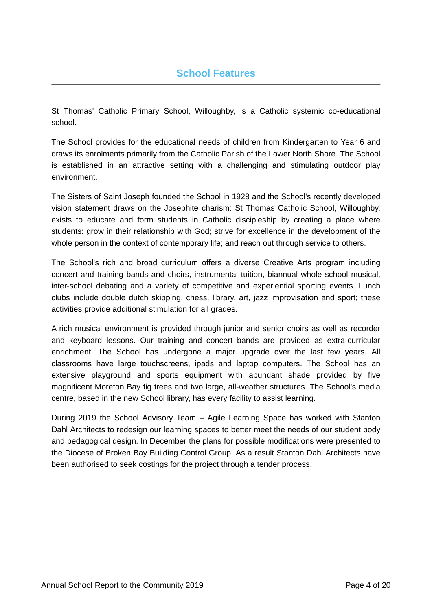# **School Features**

St Thomas' Catholic Primary School, Willoughby, is a Catholic systemic co-educational school.

The School provides for the educational needs of children from Kindergarten to Year 6 and draws its enrolments primarily from the Catholic Parish of the Lower North Shore. The School is established in an attractive setting with a challenging and stimulating outdoor play environment.

The Sisters of Saint Joseph founded the School in 1928 and the School's recently developed vision statement draws on the Josephite charism: St Thomas Catholic School, Willoughby, exists to educate and form students in Catholic discipleship by creating a place where students: grow in their relationship with God; strive for excellence in the development of the whole person in the context of contemporary life; and reach out through service to others.

The School's rich and broad curriculum offers a diverse Creative Arts program including concert and training bands and choirs, instrumental tuition, biannual whole school musical, inter-school debating and a variety of competitive and experiential sporting events. Lunch clubs include double dutch skipping, chess, library, art, jazz improvisation and sport; these activities provide additional stimulation for all grades.

A rich musical environment is provided through junior and senior choirs as well as recorder and keyboard lessons. Our training and concert bands are provided as extra-curricular enrichment. The School has undergone a major upgrade over the last few years. All classrooms have large touchscreens, ipads and laptop computers. The School has an extensive playground and sports equipment with abundant shade provided by five magnificent Moreton Bay fig trees and two large, all-weather structures. The School's media centre, based in the new School library, has every facility to assist learning.

During 2019 the School Advisory Team – Agile Learning Space has worked with Stanton Dahl Architects to redesign our learning spaces to better meet the needs of our student body and pedagogical design. In December the plans for possible modifications were presented to the Diocese of Broken Bay Building Control Group. As a result Stanton Dahl Architects have been authorised to seek costings for the project through a tender process.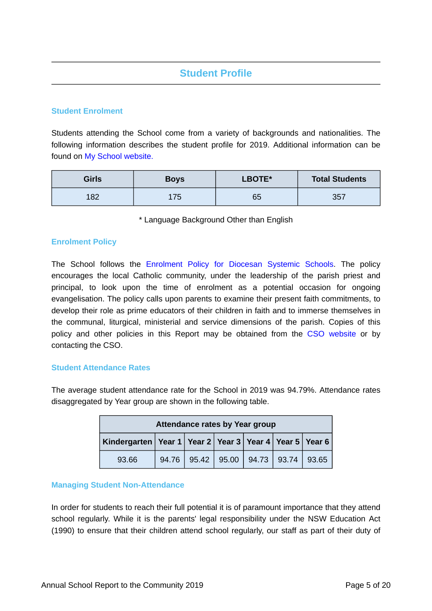# **Student Profile**

# **Student Enrolment**

Students attending the School come from a variety of backgrounds and nationalities. The following information describes the student profile for 2019. Additional information can be found on [My School website.](https://www.myschool.edu.au/)

| <b>Girls</b> | <b>Boys</b> | LBOTE* | <b>Total Students</b> |
|--------------|-------------|--------|-----------------------|
| 182          | 175         | 65     | 357                   |

\* Language Background Other than English

## **Enrolment Policy**

The School follows the [Enrolment Policy for Diocesan Systemic Schools.](https://www.csodbb.catholic.edu.au/about/Policies) The policy encourages the local Catholic community, under the leadership of the parish priest and principal, to look upon the time of enrolment as a potential occasion for ongoing evangelisation. The policy calls upon parents to examine their present faith commitments, to develop their role as prime educators of their children in faith and to immerse themselves in the communal, liturgical, ministerial and service dimensions of the parish. Copies of this policy and other policies in this Report may be obtained from the [CSO website](https://www.csodbb.catholic.edu.au/about/Policies) or by contacting the CSO.

## **Student Attendance Rates**

The average student attendance rate for the School in 2019 was 94.79%. Attendance rates disaggregated by Year group are shown in the following table.

| Attendance rates by Year group                                     |       |  |  |  |                                       |  |
|--------------------------------------------------------------------|-------|--|--|--|---------------------------------------|--|
| Kindergarten   Year 1   Year 2   Year 3   Year 4   Year 5   Year 6 |       |  |  |  |                                       |  |
| 93.66                                                              | 94.76 |  |  |  | 95.42   95.00   94.73   93.74   93.65 |  |

## **Managing Student Non-Attendance**

In order for students to reach their full potential it is of paramount importance that they attend school regularly. While it is the parents' legal responsibility under the NSW Education Act (1990) to ensure that their children attend school regularly, our staff as part of their duty of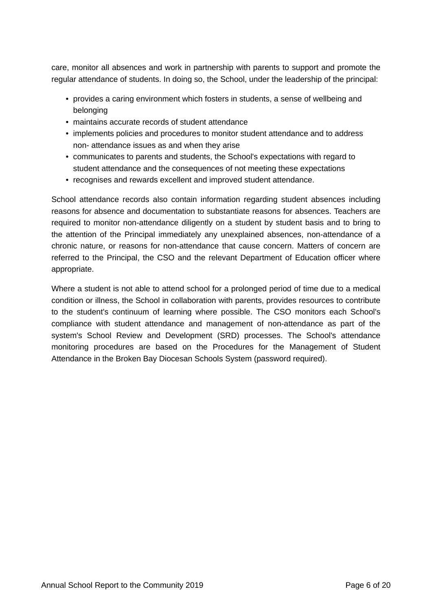care, monitor all absences and work in partnership with parents to support and promote the regular attendance of students. In doing so, the School, under the leadership of the principal:

- provides a caring environment which fosters in students, a sense of wellbeing and belonging
- maintains accurate records of student attendance
- implements policies and procedures to monitor student attendance and to address non- attendance issues as and when they arise
- communicates to parents and students, the School's expectations with regard to student attendance and the consequences of not meeting these expectations
- recognises and rewards excellent and improved student attendance.

School attendance records also contain information regarding student absences including reasons for absence and documentation to substantiate reasons for absences. Teachers are required to monitor non-attendance diligently on a student by student basis and to bring to the attention of the Principal immediately any unexplained absences, non-attendance of a chronic nature, or reasons for non-attendance that cause concern. Matters of concern are referred to the Principal, the CSO and the relevant Department of Education officer where appropriate.

Where a student is not able to attend school for a prolonged period of time due to a medical condition or illness, the School in collaboration with parents, provides resources to contribute to the student's continuum of learning where possible. The CSO monitors each School's compliance with student attendance and management of non-attendance as part of the system's School Review and Development (SRD) processes. The School's attendance monitoring procedures are based on the Procedures for the Management of Student Attendance in the Broken Bay Diocesan Schools System (password required).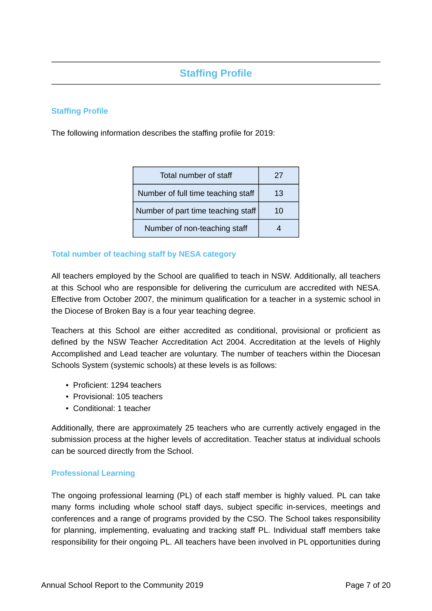# **Staffing Profile**

# **Staffing Profile**

The following information describes the staffing profile for 2019:

| Total number of staff              | 27 |
|------------------------------------|----|
| Number of full time teaching staff | 13 |
| Number of part time teaching staff | 10 |
| Number of non-teaching staff       |    |

# **Total number of teaching staff by NESA category**

All teachers employed by the School are qualified to teach in NSW. Additionally, all teachers at this School who are responsible for delivering the curriculum are accredited with NESA. Effective from October 2007, the minimum qualification for a teacher in a systemic school in the Diocese of Broken Bay is a four year teaching degree.

Teachers at this School are either accredited as conditional, provisional or proficient as defined by the NSW Teacher Accreditation Act 2004. Accreditation at the levels of Highly Accomplished and Lead teacher are voluntary. The number of teachers within the Diocesan Schools System (systemic schools) at these levels is as follows:

- Proficient: 1294 teachers
- Provisional: 105 teachers
- Conditional: 1 teacher

Additionally, there are approximately 25 teachers who are currently actively engaged in the submission process at the higher levels of accreditation. Teacher status at individual schools can be sourced directly from the School.

## **Professional Learning**

The ongoing professional learning (PL) of each staff member is highly valued. PL can take many forms including whole school staff days, subject specific in-services, meetings and conferences and a range of programs provided by the CSO. The School takes responsibility for planning, implementing, evaluating and tracking staff PL. Individual staff members take responsibility for their ongoing PL. All teachers have been involved in PL opportunities during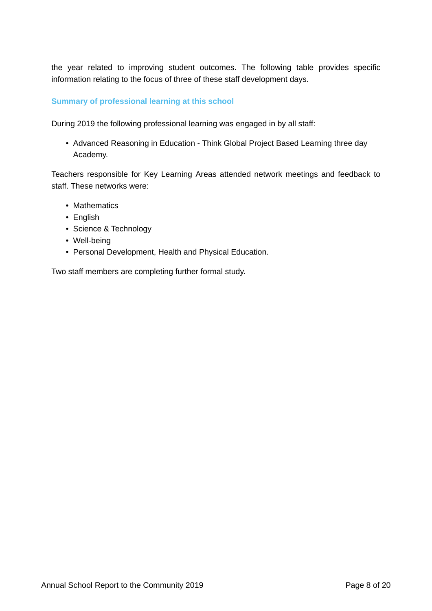the year related to improving student outcomes. The following table provides specific information relating to the focus of three of these staff development days.

# **Summary of professional learning at this school**

During 2019 the following professional learning was engaged in by all staff:

• Advanced Reasoning in Education - Think Global Project Based Learning three day Academy.

Teachers responsible for Key Learning Areas attended network meetings and feedback to staff. These networks were:

- Mathematics
- English
- Science & Technology
- Well-being
- Personal Development, Health and Physical Education.

Two staff members are completing further formal study.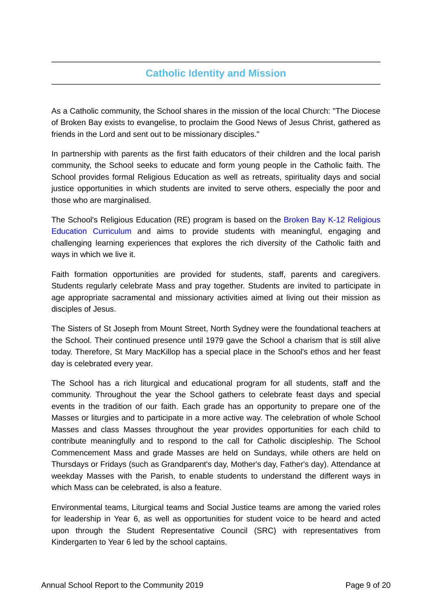# **Catholic Identity and Mission**

As a Catholic community, the School shares in the mission of the local Church: "The Diocese of Broken Bay exists to evangelise, to proclaim the Good News of Jesus Christ, gathered as friends in the Lord and sent out to be missionary disciples."

In partnership with parents as the first faith educators of their children and the local parish community, the School seeks to educate and form young people in the Catholic faith. The School provides formal Religious Education as well as retreats, spirituality days and social justice opportunities in which students are invited to serve others, especially the poor and those who are marginalised.

The School's Religious Education (RE) program is based on the [Broken Bay K-12 Religious](https://www.csodbb.catholic.edu.au/mission/Religious-Education) [Education Curriculum](https://www.csodbb.catholic.edu.au/mission/Religious-Education) and aims to provide students with meaningful, engaging and challenging learning experiences that explores the rich diversity of the Catholic faith and ways in which we live it.

Faith formation opportunities are provided for students, staff, parents and caregivers. Students regularly celebrate Mass and pray together. Students are invited to participate in age appropriate sacramental and missionary activities aimed at living out their mission as disciples of Jesus.

The Sisters of St Joseph from Mount Street, North Sydney were the foundational teachers at the School. Their continued presence until 1979 gave the School a charism that is still alive today. Therefore, St Mary MacKillop has a special place in the School's ethos and her feast day is celebrated every year.

The School has a rich liturgical and educational program for all students, staff and the community. Throughout the year the School gathers to celebrate feast days and special events in the tradition of our faith. Each grade has an opportunity to prepare one of the Masses or liturgies and to participate in a more active way. The celebration of whole School Masses and class Masses throughout the year provides opportunities for each child to contribute meaningfully and to respond to the call for Catholic discipleship. The School Commencement Mass and grade Masses are held on Sundays, while others are held on Thursdays or Fridays (such as Grandparent's day, Mother's day, Father's day). Attendance at weekday Masses with the Parish, to enable students to understand the different ways in which Mass can be celebrated, is also a feature.

Environmental teams, Liturgical teams and Social Justice teams are among the varied roles for leadership in Year 6, as well as opportunities for student voice to be heard and acted upon through the Student Representative Council (SRC) with representatives from Kindergarten to Year 6 led by the school captains.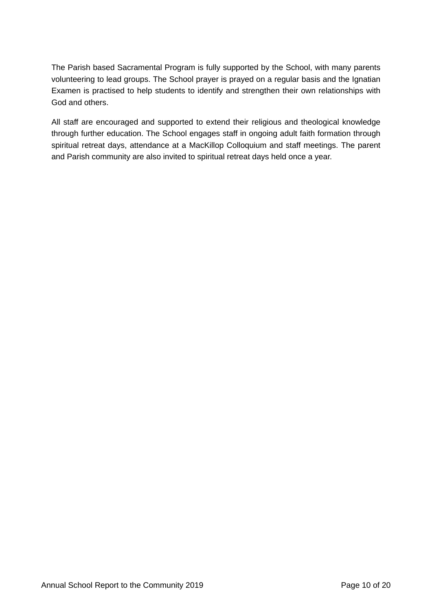The Parish based Sacramental Program is fully supported by the School, with many parents volunteering to lead groups. The School prayer is prayed on a regular basis and the Ignatian Examen is practised to help students to identify and strengthen their own relationships with God and others.

All staff are encouraged and supported to extend their religious and theological knowledge through further education. The School engages staff in ongoing adult faith formation through spiritual retreat days, attendance at a MacKillop Colloquium and staff meetings. The parent and Parish community are also invited to spiritual retreat days held once a year.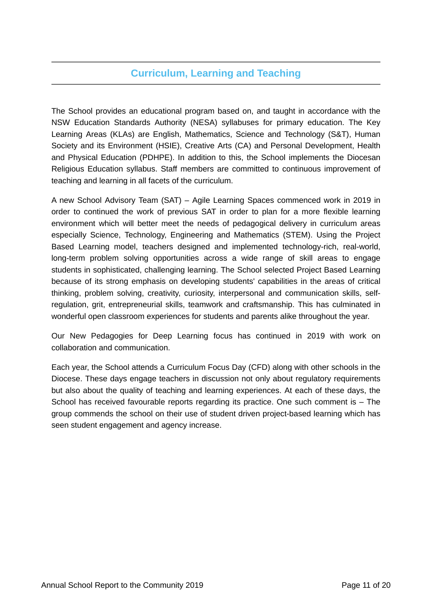# **Curriculum, Learning and Teaching**

The School provides an educational program based on, and taught in accordance with the NSW Education Standards Authority (NESA) syllabuses for primary education. The Key Learning Areas (KLAs) are English, Mathematics, Science and Technology (S&T), Human Society and its Environment (HSIE), Creative Arts (CA) and Personal Development, Health and Physical Education (PDHPE). In addition to this, the School implements the Diocesan Religious Education syllabus. Staff members are committed to continuous improvement of teaching and learning in all facets of the curriculum.

A new School Advisory Team (SAT) – Agile Learning Spaces commenced work in 2019 in order to continued the work of previous SAT in order to plan for a more flexible learning environment which will better meet the needs of pedagogical delivery in curriculum areas especially Science, Technology, Engineering and Mathematics (STEM). Using the Project Based Learning model, teachers designed and implemented technology-rich, real-world, long-term problem solving opportunities across a wide range of skill areas to engage students in sophisticated, challenging learning. The School selected Project Based Learning because of its strong emphasis on developing students' capabilities in the areas of critical thinking, problem solving, creativity, curiosity, interpersonal and communication skills, selfregulation, grit, entrepreneurial skills, teamwork and craftsmanship. This has culminated in wonderful open classroom experiences for students and parents alike throughout the year.

Our New Pedagogies for Deep Learning focus has continued in 2019 with work on collaboration and communication.

Each year, the School attends a Curriculum Focus Day (CFD) along with other schools in the Diocese. These days engage teachers in discussion not only about regulatory requirements but also about the quality of teaching and learning experiences. At each of these days, the School has received favourable reports regarding its practice. One such comment is – The group commends the school on their use of student driven project-based learning which has seen student engagement and agency increase.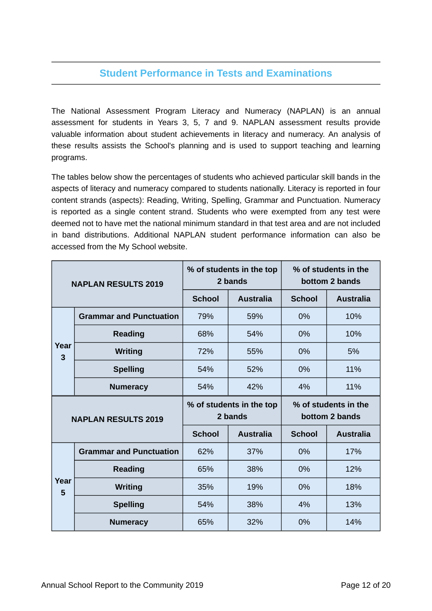# **Student Performance in Tests and Examinations**

The National Assessment Program Literacy and Numeracy (NAPLAN) is an annual assessment for students in Years 3, 5, 7 and 9. NAPLAN assessment results provide valuable information about student achievements in literacy and numeracy. An analysis of these results assists the School's planning and is used to support teaching and learning programs.

The tables below show the percentages of students who achieved particular skill bands in the aspects of literacy and numeracy compared to students nationally. Literacy is reported in four content strands (aspects): Reading, Writing, Spelling, Grammar and Punctuation. Numeracy is reported as a single content strand. Students who were exempted from any test were deemed not to have met the national minimum standard in that test area and are not included in band distributions. Additional NAPLAN student performance information can also be accessed from the My School website.

| <b>NAPLAN RESULTS 2019</b> |                                | % of students in the top<br>2 bands |                                     | % of students in the<br>bottom 2 bands |                                        |
|----------------------------|--------------------------------|-------------------------------------|-------------------------------------|----------------------------------------|----------------------------------------|
|                            |                                | <b>School</b>                       | <b>Australia</b>                    | <b>School</b>                          | <b>Australia</b>                       |
|                            | <b>Grammar and Punctuation</b> | 79%                                 | 59%                                 | 0%                                     | 10%                                    |
|                            | <b>Reading</b>                 | 68%                                 | 54%                                 | 0%                                     | 10%                                    |
| Year<br>3                  | <b>Writing</b>                 | 72%                                 | 55%                                 | 0%                                     | 5%                                     |
|                            | <b>Spelling</b>                | 54%                                 | 52%                                 | 0%                                     | 11%                                    |
|                            | <b>Numeracy</b>                | 54%                                 | 42%                                 | 4%                                     | 11%                                    |
| <b>NAPLAN RESULTS 2019</b> |                                |                                     |                                     |                                        |                                        |
|                            |                                |                                     | % of students in the top<br>2 bands |                                        | % of students in the<br>bottom 2 bands |
|                            |                                | <b>School</b>                       | <b>Australia</b>                    | <b>School</b>                          | <b>Australia</b>                       |
|                            | <b>Grammar and Punctuation</b> | 62%                                 | 37%                                 | 0%                                     | 17%                                    |
|                            | <b>Reading</b>                 | 65%                                 | 38%                                 | 0%                                     | 12%                                    |
| Year                       | <b>Writing</b>                 | 35%                                 | 19%                                 | 0%                                     | 18%                                    |
| 5                          | <b>Spelling</b>                | 54%                                 | 38%                                 | 4%                                     | 13%                                    |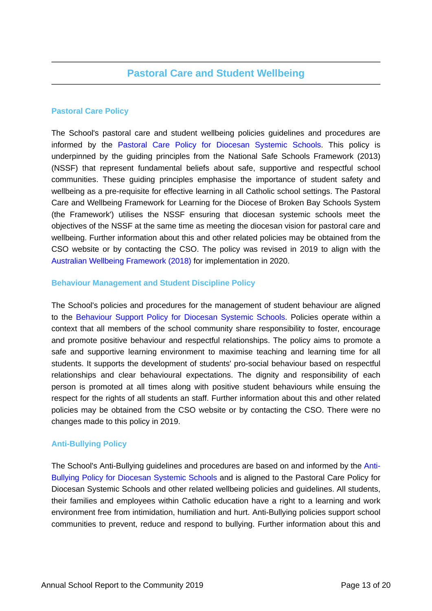# **Pastoral Care Policy**

The School's pastoral care and student wellbeing policies guidelines and procedures are informed by the [Pastoral Care Policy for Diocesan Systemic Schools.](https://www.csodbb.catholic.edu.au/about/Policies) This policy is underpinned by the guiding principles from the National Safe Schools Framework (2013) (NSSF) that represent fundamental beliefs about safe, supportive and respectful school communities. These guiding principles emphasise the importance of student safety and wellbeing as a pre-requisite for effective learning in all Catholic school settings. The Pastoral Care and Wellbeing Framework for Learning for the Diocese of Broken Bay Schools System (the Framework') utilises the NSSF ensuring that diocesan systemic schools meet the objectives of the NSSF at the same time as meeting the diocesan vision for pastoral care and wellbeing. Further information about this and other related policies may be obtained from the CSO website or by contacting the CSO. The policy was revised in 2019 to align with the [Australian Wellbeing Framework \(2018\)](https://studentwellbeinghub.edu.au/educators/framework/) for implementation in 2020.

# **Behaviour Management and Student Discipline Policy**

The School's policies and procedures for the management of student behaviour are aligned to the [Behaviour Support Policy for Diocesan Systemic Schools.](https://www.csodbb.catholic.edu.au/about/Policies) Policies operate within a context that all members of the school community share responsibility to foster, encourage and promote positive behaviour and respectful relationships. The policy aims to promote a safe and supportive learning environment to maximise teaching and learning time for all students. It supports the development of students' pro-social behaviour based on respectful relationships and clear behavioural expectations. The dignity and responsibility of each person is promoted at all times along with positive student behaviours while ensuing the respect for the rights of all students an staff. Further information about this and other related policies may be obtained from the CSO website or by contacting the CSO. There were no changes made to this policy in 2019.

# **Anti-Bullying Policy**

The School's Anti-Bullying guidelines and procedures are based on and informed by the [Anti-](https://www.csodbb.catholic.edu.au/about/Policies)[Bullying Policy for Diocesan Systemic Schools](https://www.csodbb.catholic.edu.au/about/Policies) and is aligned to the Pastoral Care Policy for Diocesan Systemic Schools and other related wellbeing policies and guidelines. All students, their families and employees within Catholic education have a right to a learning and work environment free from intimidation, humiliation and hurt. Anti-Bullying policies support school communities to prevent, reduce and respond to bullying. Further information about this and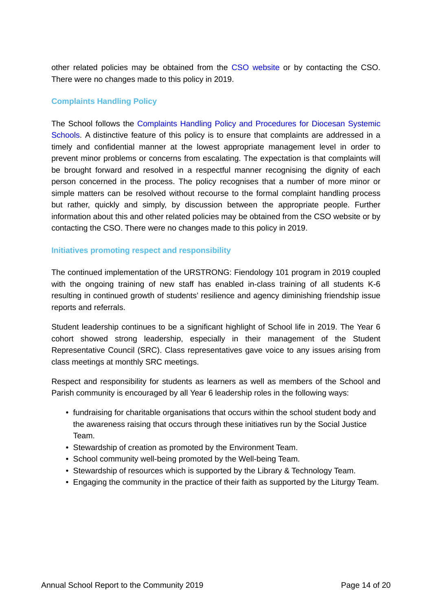other related policies may be obtained from the [CSO website](https://www.csodbb.catholic.edu.au/about/Overview) or by contacting the CSO. There were no changes made to this policy in 2019.

# **Complaints Handling Policy**

The School follows the [Complaints Handling Policy and Procedures for Diocesan Systemic](https://www.csodbb.catholic.edu.au/about/Policies) [Schools.](https://www.csodbb.catholic.edu.au/about/Policies) A distinctive feature of this policy is to ensure that complaints are addressed in a timely and confidential manner at the lowest appropriate management level in order to prevent minor problems or concerns from escalating. The expectation is that complaints will be brought forward and resolved in a respectful manner recognising the dignity of each person concerned in the process. The policy recognises that a number of more minor or simple matters can be resolved without recourse to the formal complaint handling process but rather, quickly and simply, by discussion between the appropriate people. Further information about this and other related policies may be obtained from the CSO website or by contacting the CSO. There were no changes made to this policy in 2019.

## **Initiatives promoting respect and responsibility**

The continued implementation of the URSTRONG: Fiendology 101 program in 2019 coupled with the ongoing training of new staff has enabled in-class training of all students K-6 resulting in continued growth of students' resilience and agency diminishing friendship issue reports and referrals.

Student leadership continues to be a significant highlight of School life in 2019. The Year 6 cohort showed strong leadership, especially in their management of the Student Representative Council (SRC). Class representatives gave voice to any issues arising from class meetings at monthly SRC meetings.

Respect and responsibility for students as learners as well as members of the School and Parish community is encouraged by all Year 6 leadership roles in the following ways:

- fundraising for charitable organisations that occurs within the school student body and the awareness raising that occurs through these initiatives run by the Social Justice Team.
- Stewardship of creation as promoted by the Environment Team.
- School community well-being promoted by the Well-being Team.
- Stewardship of resources which is supported by the Library & Technology Team.
- Engaging the community in the practice of their faith as supported by the Liturgy Team.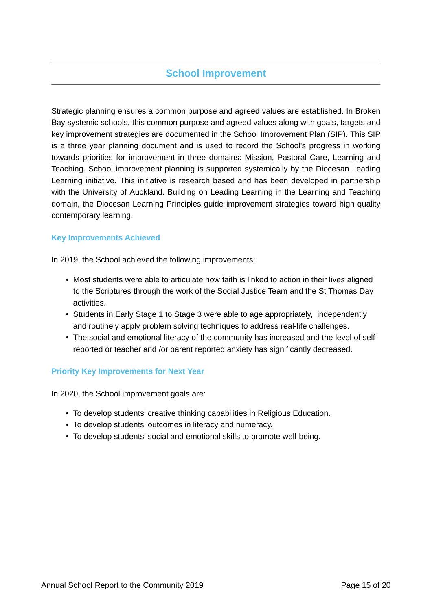# **School Improvement**

Strategic planning ensures a common purpose and agreed values are established. In Broken Bay systemic schools, this common purpose and agreed values along with goals, targets and key improvement strategies are documented in the School Improvement Plan (SIP). This SIP is a three year planning document and is used to record the School's progress in working towards priorities for improvement in three domains: Mission, Pastoral Care, Learning and Teaching. School improvement planning is supported systemically by the Diocesan Leading Learning initiative. This initiative is research based and has been developed in partnership with the University of Auckland. Building on Leading Learning in the Learning and Teaching domain, the Diocesan Learning Principles guide improvement strategies toward high quality contemporary learning.

# **Key Improvements Achieved**

In 2019, the School achieved the following improvements:

- Most students were able to articulate how faith is linked to action in their lives aligned to the Scriptures through the work of the Social Justice Team and the St Thomas Day activities.
- Students in Early Stage 1 to Stage 3 were able to age appropriately, independently and routinely apply problem solving techniques to address real-life challenges.
- The social and emotional literacy of the community has increased and the level of selfreported or teacher and /or parent reported anxiety has significantly decreased.

## **Priority Key Improvements for Next Year**

In 2020, the School improvement goals are:

- To develop students' creative thinking capabilities in Religious Education.
- To develop students' outcomes in literacy and numeracy.
- To develop students' social and emotional skills to promote well-being.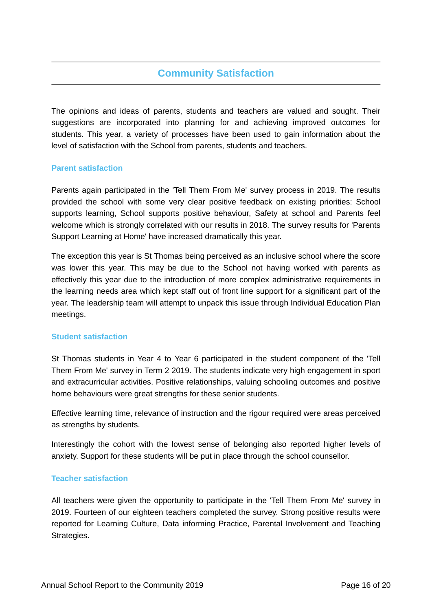# **Community Satisfaction**

The opinions and ideas of parents, students and teachers are valued and sought. Their suggestions are incorporated into planning for and achieving improved outcomes for students. This year, a variety of processes have been used to gain information about the level of satisfaction with the School from parents, students and teachers.

## **Parent satisfaction**

Parents again participated in the 'Tell Them From Me' survey process in 2019. The results provided the school with some very clear positive feedback on existing priorities: School supports learning, School supports positive behaviour, Safety at school and Parents feel welcome which is strongly correlated with our results in 2018. The survey results for 'Parents Support Learning at Home' have increased dramatically this year.

The exception this year is St Thomas being perceived as an inclusive school where the score was lower this year. This may be due to the School not having worked with parents as effectively this year due to the introduction of more complex administrative requirements in the learning needs area which kept staff out of front line support for a significant part of the year. The leadership team will attempt to unpack this issue through Individual Education Plan meetings.

## **Student satisfaction**

St Thomas students in Year 4 to Year 6 participated in the student component of the 'Tell Them From Me' survey in Term 2 2019. The students indicate very high engagement in sport and extracurricular activities. Positive relationships, valuing schooling outcomes and positive home behaviours were great strengths for these senior students.

Effective learning time, relevance of instruction and the rigour required were areas perceived as strengths by students.

Interestingly the cohort with the lowest sense of belonging also reported higher levels of anxiety. Support for these students will be put in place through the school counsellor.

## **Teacher satisfaction**

All teachers were given the opportunity to participate in the 'Tell Them From Me' survey in 2019. Fourteen of our eighteen teachers completed the survey. Strong positive results were reported for Learning Culture, Data informing Practice, Parental Involvement and Teaching Strategies.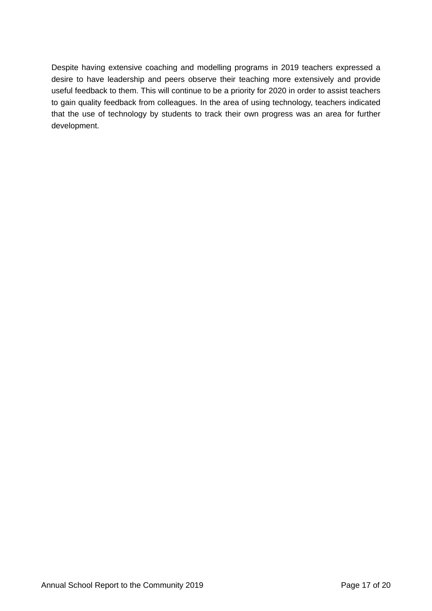Despite having extensive coaching and modelling programs in 2019 teachers expressed a desire to have leadership and peers observe their teaching more extensively and provide useful feedback to them. This will continue to be a priority for 2020 in order to assist teachers to gain quality feedback from colleagues. In the area of using technology, teachers indicated that the use of technology by students to track their own progress was an area for further development.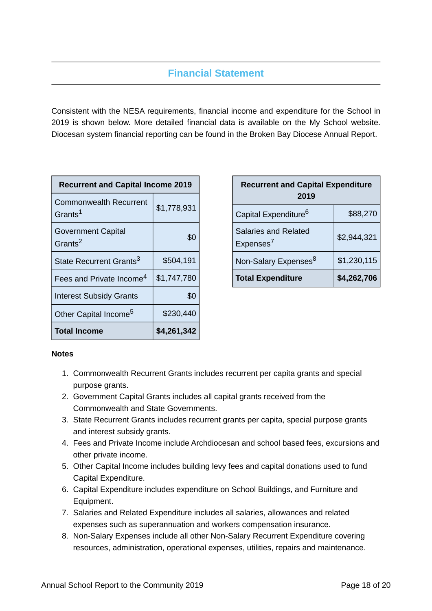# **Financial Statement**

Consistent with the NESA requirements, financial income and expenditure for the School in 2019 is shown below. More detailed financial data is available on the My School website. Diocesan system financial reporting can be found in the Broken Bay Diocese Annual Report.

| <b>Recurrent and Capital Income 2019</b>             |             |  |  |
|------------------------------------------------------|-------------|--|--|
| <b>Commonwealth Recurrent</b><br>Grants <sup>1</sup> | \$1,778,931 |  |  |
| <b>Government Capital</b><br>Grants <sup>2</sup>     | \$0         |  |  |
| State Recurrent Grants <sup>3</sup>                  | \$504,191   |  |  |
| Fees and Private Income <sup>4</sup>                 | \$1,747,780 |  |  |
| <b>Interest Subsidy Grants</b>                       | \$0         |  |  |
| Other Capital Income <sup>5</sup>                    | \$230,440   |  |  |
| <b>Total Income</b>                                  | \$4,261,342 |  |  |

| <b>Recurrent and Capital Expenditure</b><br>2019     |             |  |
|------------------------------------------------------|-------------|--|
| Capital Expenditure <sup>6</sup>                     | \$88,270    |  |
| <b>Salaries and Related</b><br>Expenses <sup>7</sup> | \$2,944,321 |  |
| Non-Salary Expenses <sup>8</sup>                     | \$1,230,115 |  |
| <b>Total Expenditure</b>                             | \$4,262,706 |  |

## **Notes**

- 1. Commonwealth Recurrent Grants includes recurrent per capita grants and special purpose grants.
- 2. Government Capital Grants includes all capital grants received from the Commonwealth and State Governments.
- 3. State Recurrent Grants includes recurrent grants per capita, special purpose grants and interest subsidy grants.
- 4. Fees and Private Income include Archdiocesan and school based fees, excursions and other private income.
- 5. Other Capital Income includes building levy fees and capital donations used to fund Capital Expenditure.
- 6. Capital Expenditure includes expenditure on School Buildings, and Furniture and Equipment.
- 7. Salaries and Related Expenditure includes all salaries, allowances and related expenses such as superannuation and workers compensation insurance.
- 8. Non-Salary Expenses include all other Non-Salary Recurrent Expenditure covering resources, administration, operational expenses, utilities, repairs and maintenance.